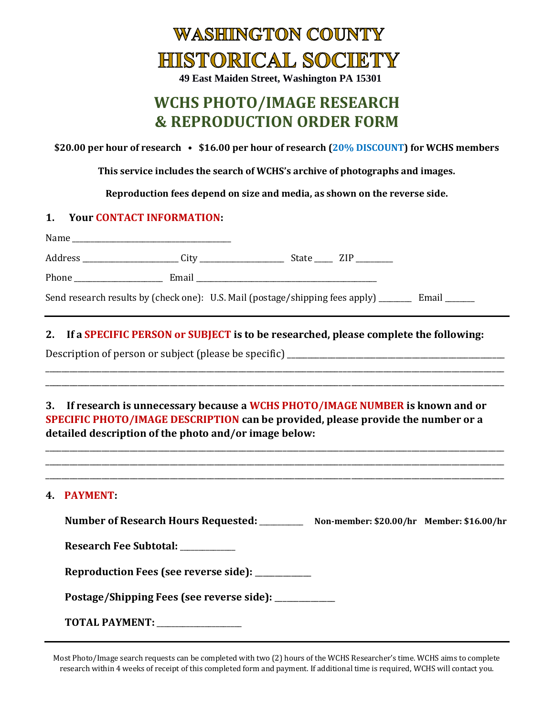

**49 East Maiden Street, Washington PA 15301**

# **WCHS PHOTO/IMAGE RESEARCH & REPRODUCTION ORDER FORM**

**\$20.00 per hour of research • \$16.00 per hour of research (20% DISCOUNT) for WCHS members**

**This service includes the search of WCHS's archive of photographs and images.** 

**Reproduction fees depend on size and media, as shown on the reverse side.**

#### **1. Your CONTACT INFORMATION:**

| Name<br><u> 1980 - Jan Barbarat, martin da shekara tsarin 1980 - Ang Barbarat na Barbarat na Barbarat na Barbarat na Barbarat na Barbarat na Barbarat na Barbarat na Barbarat na Barbarat na Barbarat na Barbarat na Barbarat na Barbara</u> |      |           |           |
|----------------------------------------------------------------------------------------------------------------------------------------------------------------------------------------------------------------------------------------------|------|-----------|-----------|
| Address _______________________                                                                                                                                                                                                              | City | State ZIP |           |
|                                                                                                                                                                                                                                              |      |           |           |
| Send research results by (check one): U.S. Mail (postage/shipping fees apply) ______                                                                                                                                                         |      |           | Email ___ |

## **2. If a SPECIFIC PERSON or SUBJECT is to be researched, please complete the following:**

\_\_\_\_\_\_\_\_\_\_\_\_\_\_\_\_\_\_\_\_\_\_\_\_\_\_\_\_\_\_\_\_\_\_\_\_\_\_\_\_\_\_\_\_\_\_\_\_\_\_\_\_\_\_\_\_\_\_\_\_\_\_\_\_\_\_\_\_\_\_\_\_\_\_\_\_\_\_\_\_\_\_\_\_\_\_\_\_\_\_\_\_\_\_\_\_\_\_\_\_\_\_\_\_\_\_\_\_\_\_\_\_\_\_ \_\_\_\_\_\_\_\_\_\_\_\_\_\_\_\_\_\_\_\_\_\_\_\_\_\_\_\_\_\_\_\_\_\_\_\_\_\_\_\_\_\_\_\_\_\_\_\_\_\_\_\_\_\_\_\_\_\_\_\_\_\_\_\_\_\_\_\_\_\_\_\_\_\_\_\_\_\_\_\_\_\_\_\_\_\_\_\_\_\_\_\_\_\_\_\_\_\_\_\_\_\_\_\_\_\_\_\_\_\_\_\_\_\_

Description of person or subject (please be specific) \_\_\_\_\_\_\_\_\_\_\_\_\_\_\_\_\_\_\_\_\_\_\_\_\_\_

# **3. If research is unnecessary because a WCHS PHOTO/IMAGE NUMBER is known and or SPECIFIC PHOTO/IMAGE DESCRIPTION can be provided, please provide the number or a detailed description of the photo and/or image below:**

\_\_\_\_\_\_\_\_\_\_\_\_\_\_\_\_\_\_\_\_\_\_\_\_\_\_\_\_\_\_\_\_\_\_\_\_\_\_\_\_\_\_\_\_\_\_\_\_\_\_\_\_\_\_\_\_\_\_\_\_\_\_\_\_\_\_\_\_\_\_\_\_\_\_\_\_\_\_\_\_\_\_\_\_\_\_\_\_\_\_\_\_\_\_\_\_\_\_\_\_\_\_\_\_\_\_\_\_\_\_\_\_\_\_ \_\_\_\_\_\_\_\_\_\_\_\_\_\_\_\_\_\_\_\_\_\_\_\_\_\_\_\_\_\_\_\_\_\_\_\_\_\_\_\_\_\_\_\_\_\_\_\_\_\_\_\_\_\_\_\_\_\_\_\_\_\_\_\_\_\_\_\_\_\_\_\_\_\_\_\_\_\_\_\_\_\_\_\_\_\_\_\_\_\_\_\_\_\_\_\_\_\_\_\_\_\_\_\_\_\_\_\_\_\_\_\_\_\_ \_\_\_\_\_\_\_\_\_\_\_\_\_\_\_\_\_\_\_\_\_\_\_\_\_\_\_\_\_\_\_\_\_\_\_\_\_\_\_\_\_\_\_\_\_\_\_\_\_\_\_\_\_\_\_\_\_\_\_\_\_\_\_\_\_\_\_\_\_\_\_\_\_\_\_\_\_\_\_\_\_\_\_\_\_\_\_\_\_\_\_\_\_\_\_\_\_\_\_\_\_\_\_\_\_\_\_\_\_\_\_\_\_\_

#### **4. PAYMENT:**

| Number of Research Hours Requested: ________           | Non-member: \$20.00/hr Member: \$16.00/hr |  |
|--------------------------------------------------------|-------------------------------------------|--|
| Research Fee Subtotal:                                 |                                           |  |
| Reproduction Fees (see reverse side): __________       |                                           |  |
| Postage/Shipping Fees (see reverse side): ____________ |                                           |  |
| TOTAL PAYMENT: _______________                         |                                           |  |

Most Photo/Image search requests can be completed with two (2) hours of the WCHS Researcher's time. WCHS aims to complete research within 4 weeks of receipt of this completed form and payment. If additional time is required, WCHS will contact you.